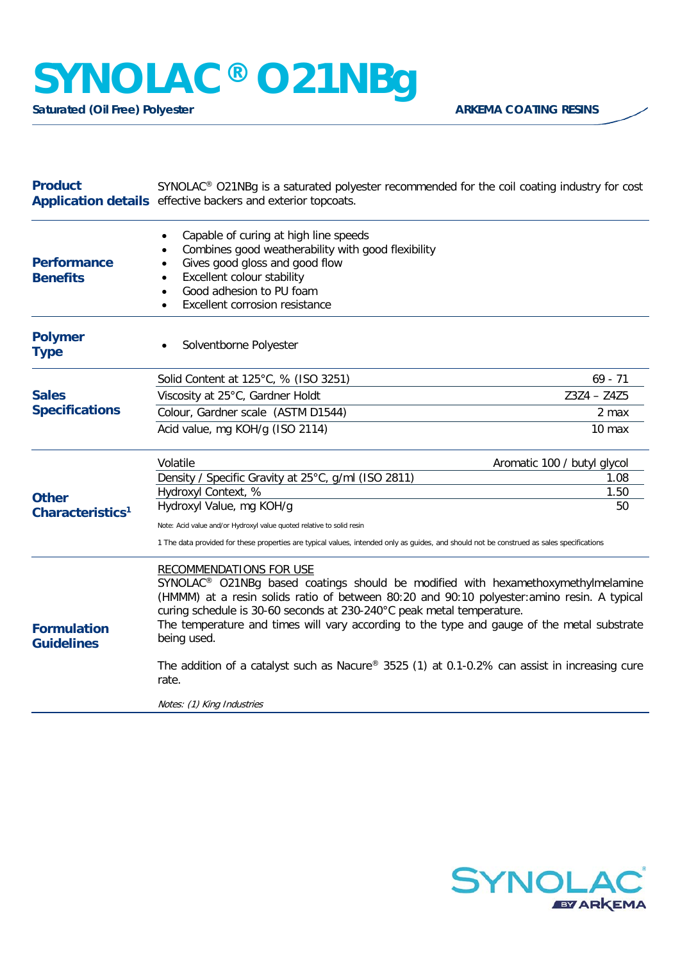## **SYNOLAC® O21NBg**

**Saturated (Oil Free) Polyester ARKEMA COATING RESINS** 

| <b>Product</b>                               | SYNOLAC® O21NBg is a saturated polyester recommended for the coil coating industry for cost<br>Application details effective backers and exterior topcoats.                                                                                                                                                                                                                                                         |                             |
|----------------------------------------------|---------------------------------------------------------------------------------------------------------------------------------------------------------------------------------------------------------------------------------------------------------------------------------------------------------------------------------------------------------------------------------------------------------------------|-----------------------------|
| <b>Performance</b><br><b>Benefits</b>        | Capable of curing at high line speeds<br>٠<br>Combines good weatherability with good flexibility<br>$\bullet$<br>Gives good gloss and good flow<br>Excellent colour stability<br>Good adhesion to PU foam<br>Excellent corrosion resistance                                                                                                                                                                         |                             |
| <b>Polymer</b><br><b>Type</b>                | Solventborne Polyester                                                                                                                                                                                                                                                                                                                                                                                              |                             |
| <b>Sales</b><br><b>Specifications</b>        | Solid Content at 125°C, % (ISO 3251)                                                                                                                                                                                                                                                                                                                                                                                | $69 - 71$                   |
|                                              | Viscosity at 25°C, Gardner Holdt                                                                                                                                                                                                                                                                                                                                                                                    | $Z3Z4 - Z4Z5$               |
|                                              | Colour, Gardner scale (ASTM D1544)                                                                                                                                                                                                                                                                                                                                                                                  | 2 max                       |
|                                              | Acid value, mg KOH/g (ISO 2114)                                                                                                                                                                                                                                                                                                                                                                                     | 10 max                      |
| <b>Other</b><br>Characteristics <sup>1</sup> | Volatile                                                                                                                                                                                                                                                                                                                                                                                                            | Aromatic 100 / butyl glycol |
|                                              | Density / Specific Gravity at 25°C, g/ml (ISO 2811)                                                                                                                                                                                                                                                                                                                                                                 | 1.08                        |
|                                              | Hydroxyl Context, %<br>Hydroxyl Value, mg KOH/g                                                                                                                                                                                                                                                                                                                                                                     | 1.50<br>50                  |
|                                              | Note: Acid value and/or Hydroxyl value quoted relative to solid resin                                                                                                                                                                                                                                                                                                                                               |                             |
|                                              | 1 The data provided for these properties are typical values, intended only as guides, and should not be construed as sales specifications                                                                                                                                                                                                                                                                           |                             |
| <b>Formulation</b><br><b>Guidelines</b>      | <b>RECOMMENDATIONS FOR USE</b><br>SYNOLAC <sup>®</sup> O21NBg based coatings should be modified with hexamethoxymethylmelamine<br>(HMMM) at a resin solids ratio of between 80:20 and 90:10 polyester: amino resin. A typical<br>curing schedule is 30-60 seconds at 230-240°C peak metal temperature.<br>The temperature and times will vary according to the type and gauge of the metal substrate<br>being used. |                             |
|                                              | The addition of a catalyst such as Nacure® 3525 (1) at 0.1-0.2% can assist in increasing cure<br>rate.                                                                                                                                                                                                                                                                                                              |                             |
|                                              | Notes: (1) King Industries                                                                                                                                                                                                                                                                                                                                                                                          |                             |
|                                              |                                                                                                                                                                                                                                                                                                                                                                                                                     |                             |